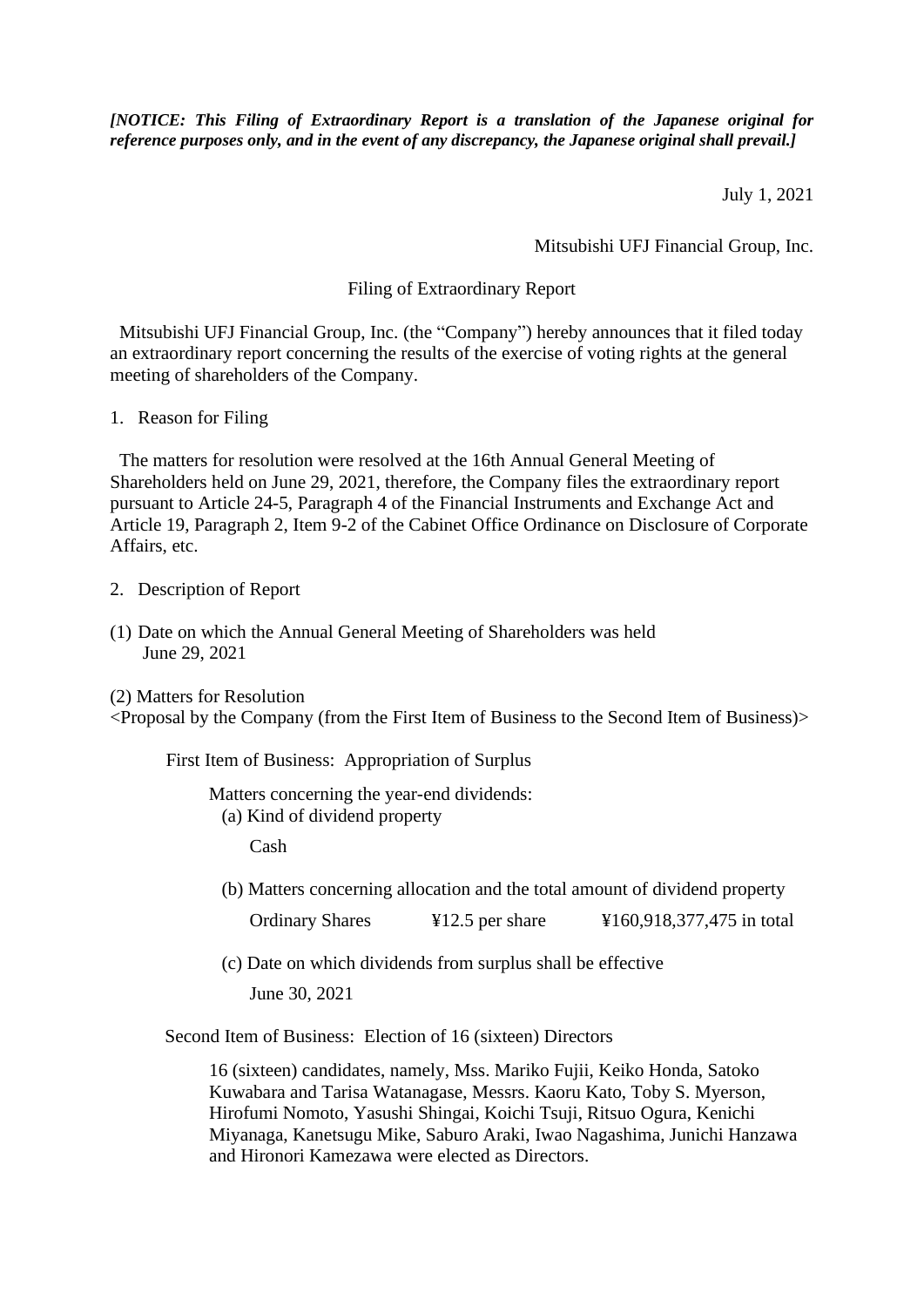*[NOTICE: This Filing of Extraordinary Report is a translation of the Japanese original for reference purposes only, and in the event of any discrepancy, the Japanese original shall prevail.]*

July 1, 2021

Mitsubishi UFJ Financial Group, Inc.

## Filing of Extraordinary Report

Mitsubishi UFJ Financial Group, Inc. (the "Company") hereby announces that it filed today an extraordinary report concerning the results of the exercise of voting rights at the general meeting of shareholders of the Company.

1. Reason for Filing

 The matters for resolution were resolved at the 16th Annual General Meeting of Shareholders held on June 29, 2021, therefore, the Company files the extraordinary report pursuant to Article 24-5, Paragraph 4 of the Financial Instruments and Exchange Act and Article 19, Paragraph 2, Item 9-2 of the Cabinet Office Ordinance on Disclosure of Corporate Affairs, etc.

2. Description of Report

(1) Date on which the Annual General Meeting of Shareholders was held June 29, 2021

(2) Matters for Resolution <Proposal by the Company (from the First Item of Business to the Second Item of Business)>

First Item of Business: Appropriation of Surplus

Matters concerning the year-end dividends: (a) Kind of dividend property

Cash

(b) Matters concerning allocation and the total amount of dividend property

Ordinary Shares ¥12.5 per share ¥160,918,377,475 in total

(c) Date on which dividends from surplus shall be effective

June 30, 2021

Second Item of Business: Election of 16 (sixteen) Directors

16 (sixteen) candidates, namely, Mss. Mariko Fujii, Keiko Honda, Satoko Kuwabara and Tarisa Watanagase, Messrs. Kaoru Kato, Toby S. Myerson, Hirofumi Nomoto, Yasushi Shingai, Koichi Tsuji, Ritsuo Ogura, Kenichi Miyanaga, Kanetsugu Mike, Saburo Araki, Iwao Nagashima, Junichi Hanzawa and Hironori Kamezawa were elected as Directors.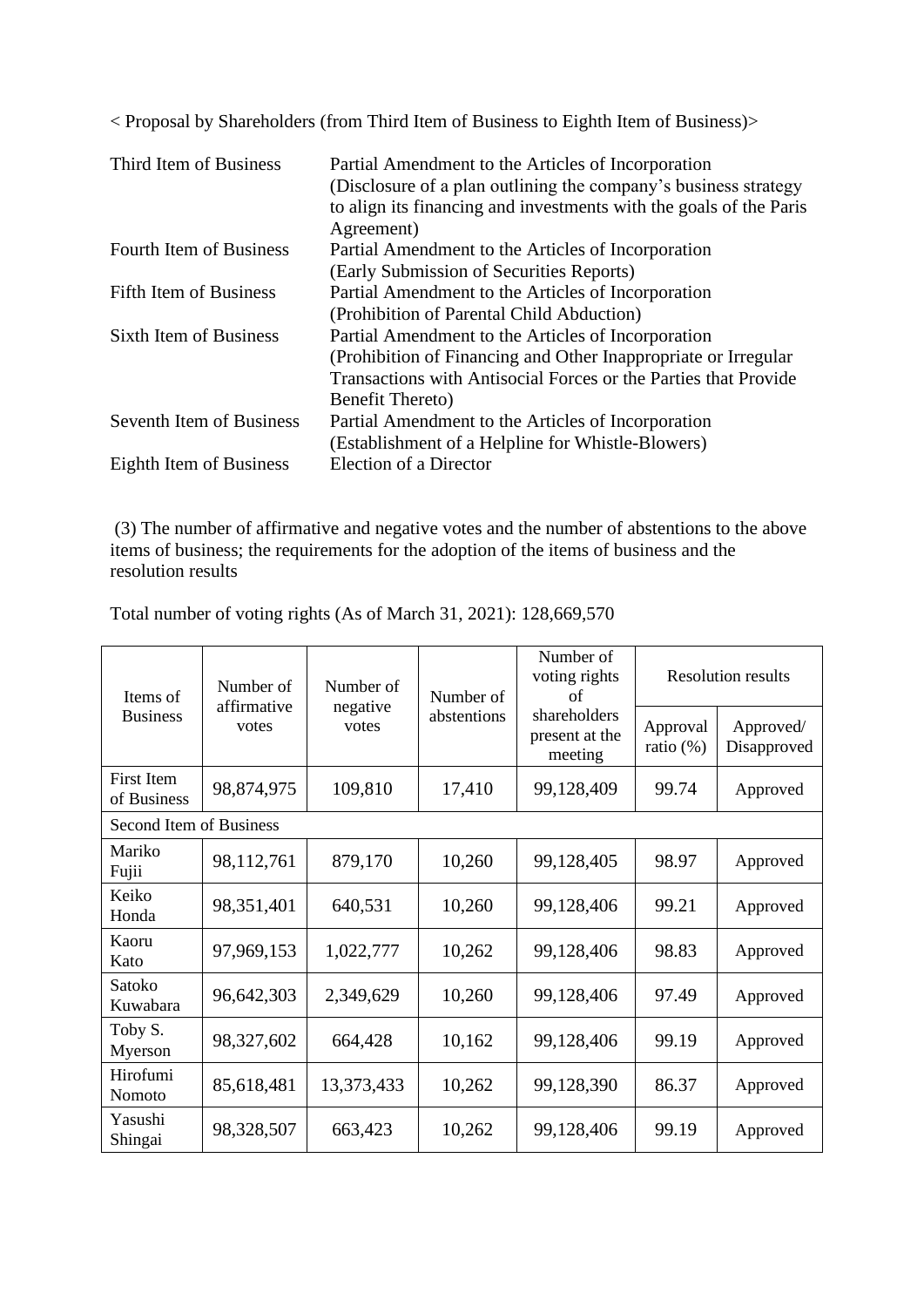< Proposal by Shareholders (from Third Item of Business to Eighth Item of Business)>

| Partial Amendment to the Articles of Incorporation                 |
|--------------------------------------------------------------------|
| (Disclosure of a plan outlining the company's business strategy    |
| to align its financing and investments with the goals of the Paris |
| Agreement)                                                         |
| Partial Amendment to the Articles of Incorporation                 |
| (Early Submission of Securities Reports)                           |
| Partial Amendment to the Articles of Incorporation                 |
| (Prohibition of Parental Child Abduction)                          |
| Partial Amendment to the Articles of Incorporation                 |
| (Prohibition of Financing and Other Inappropriate or Irregular     |
| Transactions with Antisocial Forces or the Parties that Provide    |
| <b>Benefit Thereto</b> )                                           |
| Partial Amendment to the Articles of Incorporation                 |
| (Establishment of a Helpline for Whistle-Blowers)                  |
| Election of a Director                                             |
|                                                                    |

(3) The number of affirmative and negative votes and the number of abstentions to the above items of business; the requirements for the adoption of the items of business and the resolution results

| Items of<br><b>Business</b>      | Number of<br>affirmative<br>votes | Number of<br>negative<br>votes | Number of<br>abstentions | Number of<br>voting rights<br>οf<br>shareholders<br>present at the<br>meeting | <b>Resolution results</b> |                          |  |  |  |
|----------------------------------|-----------------------------------|--------------------------------|--------------------------|-------------------------------------------------------------------------------|---------------------------|--------------------------|--|--|--|
|                                  |                                   |                                |                          |                                                                               | Approval<br>ratio $(\%)$  | Approved/<br>Disapproved |  |  |  |
| <b>First Item</b><br>of Business | 98,874,975                        | 109,810                        | 17,410                   | 99,128,409                                                                    | 99.74                     | Approved                 |  |  |  |
| Second Item of Business          |                                   |                                |                          |                                                                               |                           |                          |  |  |  |
| Mariko<br>Fujii                  | 98,112,761                        | 879,170                        | 10,260                   | 99,128,405                                                                    | 98.97                     | Approved                 |  |  |  |
| Keiko<br>Honda                   | 98,351,401                        | 640,531                        | 10,260                   | 99,128,406                                                                    | 99.21                     | Approved                 |  |  |  |
| Kaoru<br>Kato                    | 97,969,153                        | 1,022,777                      | 10,262                   | 99,128,406                                                                    | 98.83                     | Approved                 |  |  |  |
| Satoko<br>Kuwabara               | 96,642,303                        | 2,349,629                      | 10,260                   | 99,128,406                                                                    | 97.49                     | Approved                 |  |  |  |
| Toby S.<br>Myerson               | 98,327,602                        | 664,428                        | 10,162                   | 99,128,406                                                                    | 99.19                     | Approved                 |  |  |  |
| Hirofumi<br>Nomoto               | 85,618,481                        | 13,373,433                     | 10,262                   | 99,128,390                                                                    | 86.37                     | Approved                 |  |  |  |
| Yasushi<br>Shingai               | 98,328,507                        | 663,423                        | 10,262                   | 99,128,406                                                                    | 99.19                     | Approved                 |  |  |  |

Total number of voting rights (As of March 31, 2021): 128,669,570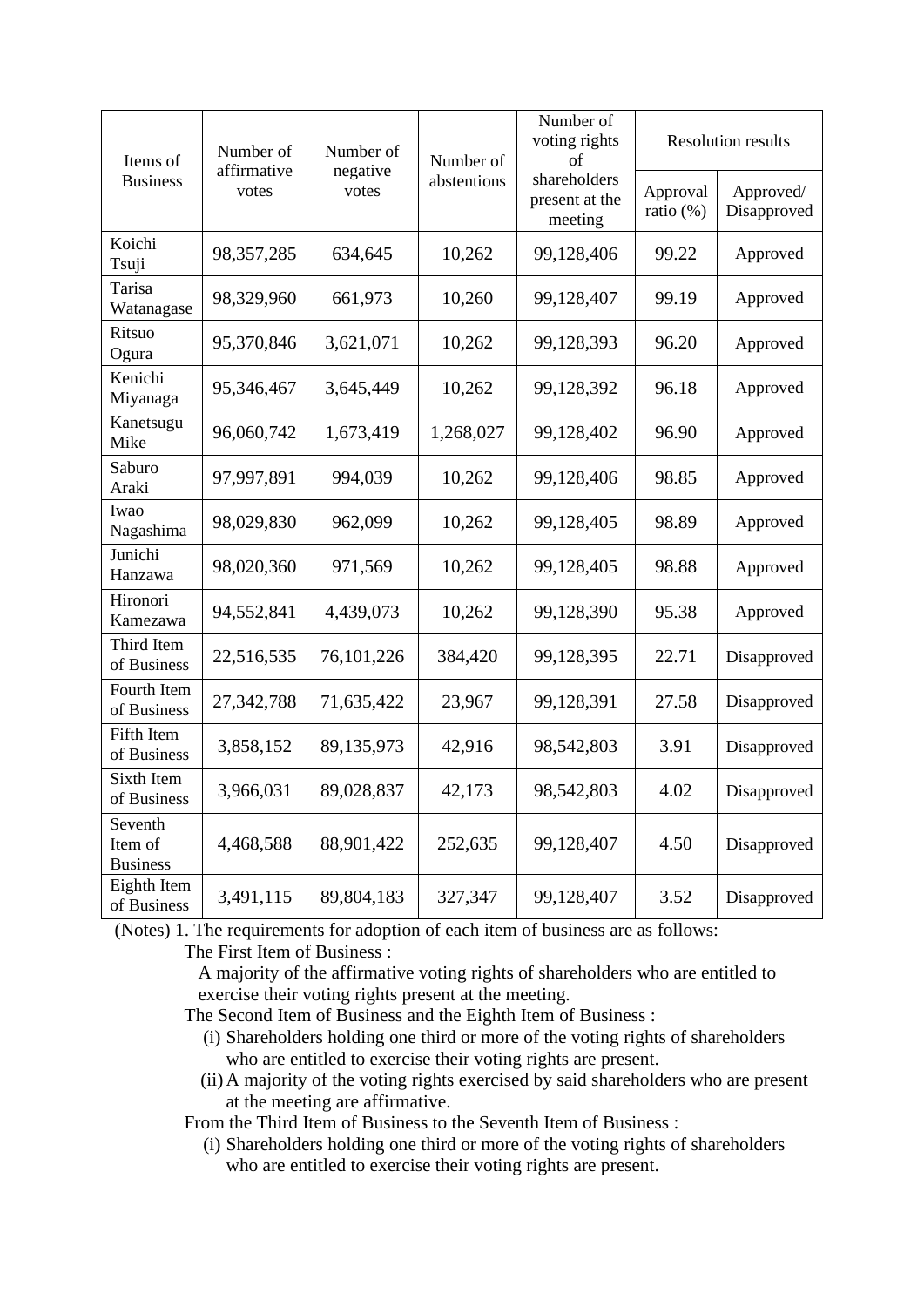| Items of<br><b>Business</b>           | Number of<br>affirmative<br>votes | Number of<br>negative<br>votes | Number of<br>abstentions | Number of<br>voting rights<br>of<br>shareholders<br>present at the<br>meeting | <b>Resolution results</b> |                          |
|---------------------------------------|-----------------------------------|--------------------------------|--------------------------|-------------------------------------------------------------------------------|---------------------------|--------------------------|
|                                       |                                   |                                |                          |                                                                               | Approval<br>ratio (%)     | Approved/<br>Disapproved |
| Koichi<br>Tsuji                       | 98,357,285                        | 634,645                        | 10,262                   | 99,128,406                                                                    | 99.22                     | Approved                 |
| Tarisa<br>Watanagase                  | 98,329,960                        | 661,973                        | 10,260                   | 99,128,407                                                                    | 99.19                     | Approved                 |
| Ritsuo<br>Ogura                       | 95,370,846                        | 3,621,071                      | 10,262                   | 99,128,393                                                                    | 96.20                     | Approved                 |
| Kenichi<br>Miyanaga                   | 95,346,467                        | 3,645,449                      | 10,262                   | 99,128,392                                                                    | 96.18                     | Approved                 |
| Kanetsugu<br>Mike                     | 96,060,742                        | 1,673,419                      | 1,268,027                | 99,128,402                                                                    | 96.90                     | Approved                 |
| Saburo<br>Araki                       | 97,997,891                        | 994,039                        | 10,262                   | 99,128,406                                                                    | 98.85                     | Approved                 |
| Iwao<br>Nagashima                     | 98,029,830                        | 962,099                        | 10,262                   | 99,128,405                                                                    | 98.89                     | Approved                 |
| Junichi<br>Hanzawa                    | 98,020,360                        | 971,569                        | 10,262                   | 99,128,405                                                                    | 98.88                     | Approved                 |
| Hironori<br>Kamezawa                  | 94,552,841                        | 4,439,073                      | 10,262                   | 99,128,390                                                                    | 95.38                     | Approved                 |
| Third Item<br>of Business             | 22,516,535                        | 76, 101, 226                   | 384,420                  | 99,128,395                                                                    | 22.71                     | Disapproved              |
| Fourth Item<br>of Business            | 27,342,788                        | 71,635,422                     | 23,967                   | 99,128,391                                                                    | 27.58                     | Disapproved              |
| Fifth Item<br>of Business             | 3,858,152                         | 89,135,973                     | 42,916                   | 98,542,803                                                                    | 3.91                      | Disapproved              |
| Sixth Item<br>of Business             | 3,966,031                         | 89,028,837                     | 42,173                   | 98,542,803                                                                    | 4.02                      | Disapproved              |
| Seventh<br>Item of<br><b>Business</b> | 4,468,588                         | 88,901,422                     | 252,635                  | 99,128,407                                                                    | 4.50                      | Disapproved              |
| Eighth Item<br>of Business            | 3,491,115                         | 89,804,183                     | 327,347                  | 99,128,407                                                                    | 3.52                      | Disapproved              |

(Notes) 1. The requirements for adoption of each item of business are as follows:

The First Item of Business :

A majority of the affirmative voting rights of shareholders who are entitled to exercise their voting rights present at the meeting.

The Second Item of Business and the Eighth Item of Business :

- (i) Shareholders holding one third or more of the voting rights of shareholders who are entitled to exercise their voting rights are present.
- (ii) A majority of the voting rights exercised by said shareholders who are present at the meeting are affirmative.

From the Third Item of Business to the Seventh Item of Business :

(i) Shareholders holding one third or more of the voting rights of shareholders who are entitled to exercise their voting rights are present.